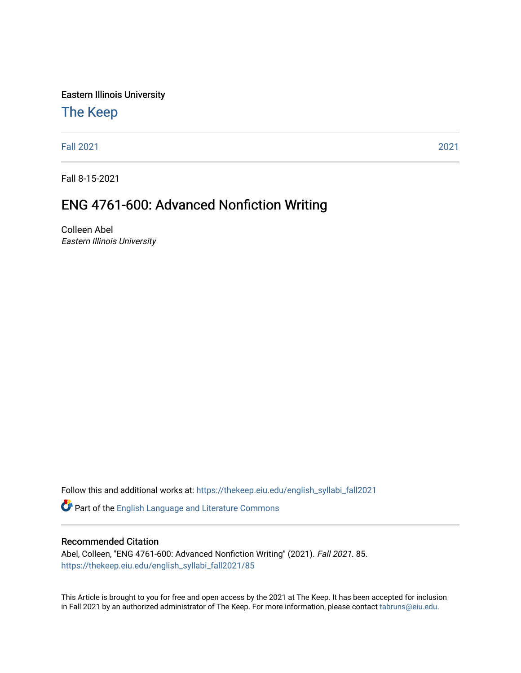Eastern Illinois University

## [The Keep](https://thekeep.eiu.edu/)

[Fall 2021](https://thekeep.eiu.edu/english_syllabi_fall2021) [2021](https://thekeep.eiu.edu/english_syllabi2021) 

Fall 8-15-2021

# ENG 4761-600: Advanced Nonfiction Writing

Colleen Abel Eastern Illinois University

Follow this and additional works at: [https://thekeep.eiu.edu/english\\_syllabi\\_fall2021](https://thekeep.eiu.edu/english_syllabi_fall2021?utm_source=thekeep.eiu.edu%2Fenglish_syllabi_fall2021%2F85&utm_medium=PDF&utm_campaign=PDFCoverPages) 

Part of the [English Language and Literature Commons](http://network.bepress.com/hgg/discipline/455?utm_source=thekeep.eiu.edu%2Fenglish_syllabi_fall2021%2F85&utm_medium=PDF&utm_campaign=PDFCoverPages)

#### Recommended Citation

Abel, Colleen, "ENG 4761-600: Advanced Nonfiction Writing" (2021). Fall 2021. 85. [https://thekeep.eiu.edu/english\\_syllabi\\_fall2021/85](https://thekeep.eiu.edu/english_syllabi_fall2021/85?utm_source=thekeep.eiu.edu%2Fenglish_syllabi_fall2021%2F85&utm_medium=PDF&utm_campaign=PDFCoverPages)

This Article is brought to you for free and open access by the 2021 at The Keep. It has been accepted for inclusion in Fall 2021 by an authorized administrator of The Keep. For more information, please contact [tabruns@eiu.edu](mailto:tabruns@eiu.edu).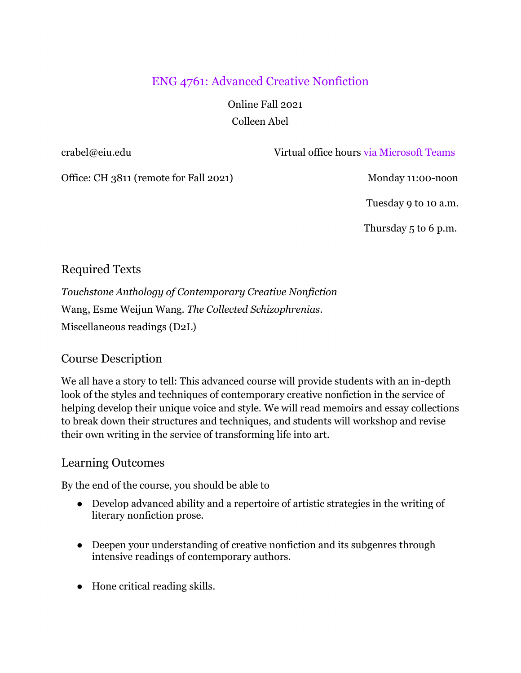# ENG 4761: Advanced Creative Nonfiction

 Online Fall 2021 Colleen Abel

crabel@eiu.edu Virtual office hours via Microsoft Teams

Office: CH 3811 (remote for Fall 2021) Monday 11:00-noon

Tuesday 9 to 10 a.m.

Thursday 5 to 6 p.m.

### Required Texts

*Touchstone Anthology of Contemporary Creative Nonfiction*  Wang, Esme Weijun Wang. *The Collected Schizophrenias*. Miscellaneous readings (D2L)

### Course Description

We all have a story to tell: This advanced course will provide students with an in-depth look of the styles and techniques of contemporary creative nonfiction in the service of helping develop their unique voice and style. We will read memoirs and essay collections to break down their structures and techniques, and students will workshop and revise their own writing in the service of transforming life into art.

#### Learning Outcomes

By the end of the course, you should be able to

- Develop advanced ability and a repertoire of artistic strategies in the writing of literary nonfiction prose.
- Deepen your understanding of creative nonfiction and its subgenres through intensive readings of contemporary authors.
- Hone critical reading skills.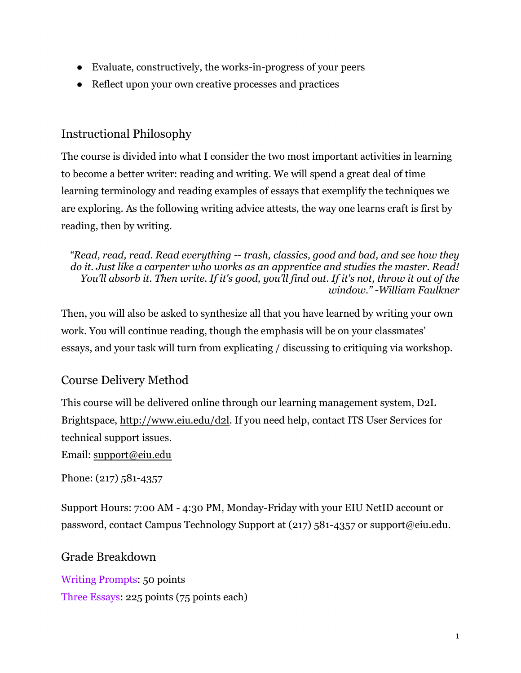- Evaluate, constructively, the works-in-progress of your peers
- Reflect upon your own creative processes and practices

## Instructional Philosophy

The course is divided into what I consider the two most important activities in learning to become a better writer: reading and writing. We will spend a great deal of time learning terminology and reading examples of essays that exemplify the techniques we are exploring. As the following writing advice attests, the way one learns craft is first by reading, then by writing.

*"Read, read, read. Read everything -- trash, classics, good and bad, and see how they do it. Just like a carpenter who works as an apprentice and studies the master. Read! You'll absorb it. Then write. If it's good, you'll find out. If it's not, throw it out of the window." -William Faulkner*

Then, you will also be asked to synthesize all that you have learned by writing your own work. You will continue reading, though the emphasis will be on your classmates' essays, and your task will turn from explicating / discussing to critiquing via workshop.

# Course Delivery Method

This course will be delivered online through our learning management system, D2L Brightspace, [http://www.eiu.edu/d2l.](http://www.eiu.edu/d2l) If you need help, contact ITS User Services for technical support issues.

Email: [support@eiu.edu](mailto:support@eiu.edu)

Phone: (217) 581-4357

Support Hours: 7:00 AM - 4:30 PM, Monday-Friday with your EIU NetID account or password, contact Campus Technology Support at (217) 581-4357 or support@eiu.edu.

### Grade Breakdown

Writing Prompts: 50 points Three Essays: 225 points (75 points each)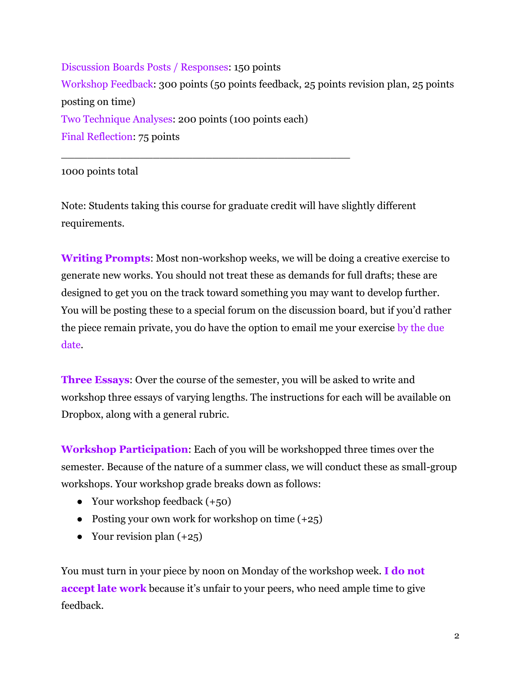Discussion Boards Posts / Responses: 150 points Workshop Feedback: 300 points (50 points feedback, 25 points revision plan, 25 points posting on time) Two Technique Analyses: 200 points (100 points each) Final Reflection: 75 points

1000 points total

Note: Students taking this course for graduate credit will have slightly different requirements.

\_\_\_\_\_\_\_\_\_\_\_\_\_\_\_\_\_\_\_\_\_\_\_\_\_\_\_\_\_\_\_\_\_\_\_\_\_\_\_\_\_\_\_\_

**Writing Prompts**: Most non-workshop weeks, we will be doing a creative exercise to generate new works. You should not treat these as demands for full drafts; these are designed to get you on the track toward something you may want to develop further. You will be posting these to a special forum on the discussion board, but if you'd rather the piece remain private, you do have the option to email me your exercise by the due date.

**Three Essays**: Over the course of the semester, you will be asked to write and workshop three essays of varying lengths. The instructions for each will be available on Dropbox, along with a general rubric.

**Workshop Participation**: Each of you will be workshopped three times over the semester. Because of the nature of a summer class, we will conduct these as small-group workshops. Your workshop grade breaks down as follows:

- Your workshop feedback  $(+50)$
- Posting your own work for workshop on time  $(+25)$
- Your revision plan  $(+25)$

You must turn in your piece by noon on Monday of the workshop week. **I do not accept late work** because it's unfair to your peers, who need ample time to give feedback.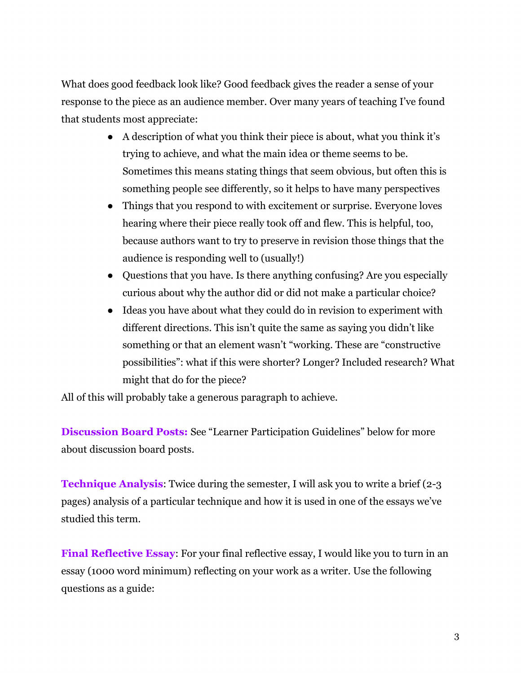What does good feedback look like? Good feedback gives the reader a sense of your response to the piece as an audience member. Over many years of teaching I've found that students most appreciate:

- A description of what you think their piece is about, what you think it's trying to achieve, and what the main idea or theme seems to be. Sometimes this means stating things that seem obvious, but often this is something people see differently, so it helps to have many perspectives
- Things that you respond to with excitement or surprise. Everyone loves hearing where their piece really took off and flew. This is helpful, too, because authors want to try to preserve in revision those things that the audience is responding well to (usually!)
- Questions that you have. Is there anything confusing? Are you especially curious about why the author did or did not make a particular choice?
- Ideas you have about what they could do in revision to experiment with different directions. This isn't quite the same as saying you didn't like something or that an element wasn't "working. These are "constructive possibilities": what if this were shorter? Longer? Included research? What might that do for the piece?

All of this will probably take a generous paragraph to achieve.

**Discussion Board Posts:** See "Learner Participation Guidelines" below for more about discussion board posts.

**Technique Analysis:** Twice during the semester, I will ask you to write a brief (2-3) pages) analysis of a particular technique and how it is used in one of the essays we've studied this term.

**Final Reflective Essay**: For your final reflective essay, I would like you to turn in an essay (1000 word minimum) reflecting on your work as a writer. Use the following questions as a guide: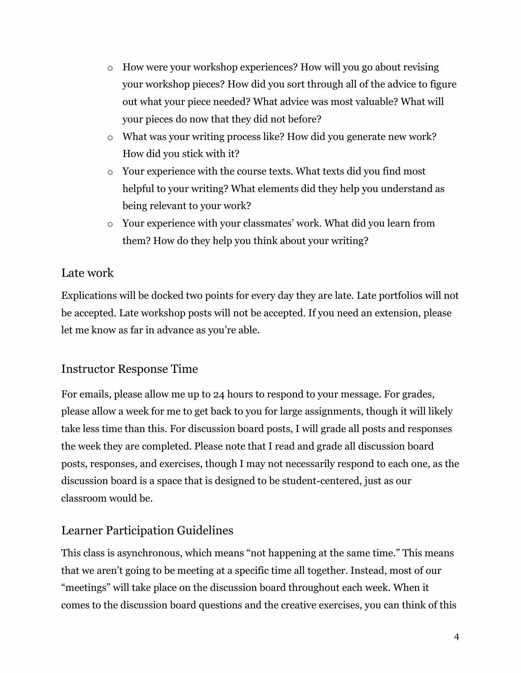- $\circ$  How were your workshop experiences? How will you go about revising your workshop pieces? How did you sort through all of the advice to figure out what your piece needed? What advice was most valuable? What will your pieces do now that they did not before?
- o What was your writing process like? How did you generate new work? How did you stick with it?
- o Your experience with the course texts. What texts did you find most helpful to your writing? What elements did they help you understand as being relevant to your work?
- o Your experience with your classmates' work. What did you learn from them? How do they help you think about your writing?

## Late work

Explications will be docked two points for every day they are late. Late portfolios will not be accepted. Late workshop posts will not be accepted. If you need an extension, please let me know as far in advance as you're able.

## Instructor Response Time

For emails, please allow me up to 24 hours to respond to your message. For grades, please allow a week for me to get back to you for large assignments, though it will likely take less time than this. For discussion board posts, I will grade all posts and responses the week they are completed. Please note that I read and grade all discussion board posts, responses, and exercises, though I may not necessarily respond to each one, as the discussion board is a space that is designed to be student-centered, just as our classroom would be.

## Learner Participation Guidelines

This class is asynchronous, which means "not happening at the same time." This means that we aren't going to be meeting at a specific time all together. Instead, most of our "meetings" will take place on the discussion board throughout each week. When it comes to the discussion board questions and the creative exercises, you can think of this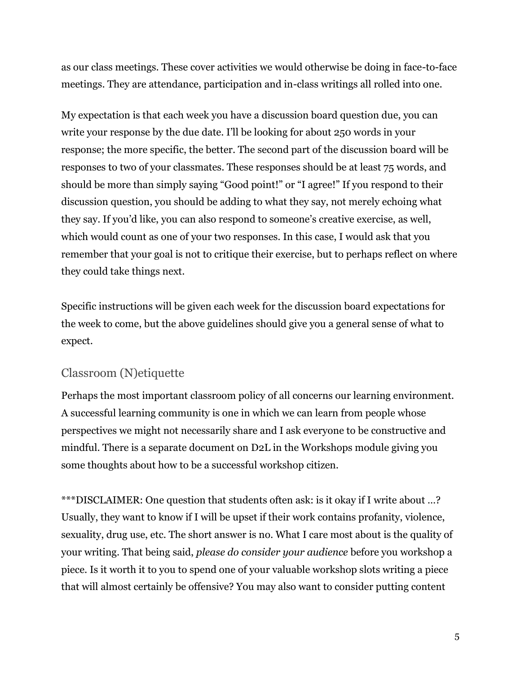as our class meetings. These cover activities we would otherwise be doing in face-to-face meetings. They are attendance, participation and in-class writings all rolled into one.

My expectation is that each week you have a discussion board question due, you can write your response by the due date. I'll be looking for about 250 words in your response; the more specific, the better. The second part of the discussion board will be responses to two of your classmates. These responses should be at least 75 words, and should be more than simply saying "Good point!" or "I agree!" If you respond to their discussion question, you should be adding to what they say, not merely echoing what they say. If you'd like, you can also respond to someone's creative exercise, as well, which would count as one of your two responses. In this case, I would ask that you remember that your goal is not to critique their exercise, but to perhaps reflect on where they could take things next.

Specific instructions will be given each week for the discussion board expectations for the week to come, but the above guidelines should give you a general sense of what to expect.

## Classroom (N)etiquette

Perhaps the most important classroom policy of all concerns our learning environment. A successful learning community is one in which we can learn from people whose perspectives we might not necessarily share and I ask everyone to be constructive and mindful. There is a separate document on D2L in the Workshops module giving you some thoughts about how to be a successful workshop citizen.

\*\*\*DISCLAIMER: One question that students often ask: is it okay if I write about …? Usually, they want to know if I will be upset if their work contains profanity, violence, sexuality, drug use, etc. The short answer is no. What I care most about is the quality of your writing. That being said, *please do consider your audience* before you workshop a piece. Is it worth it to you to spend one of your valuable workshop slots writing a piece that will almost certainly be offensive? You may also want to consider putting content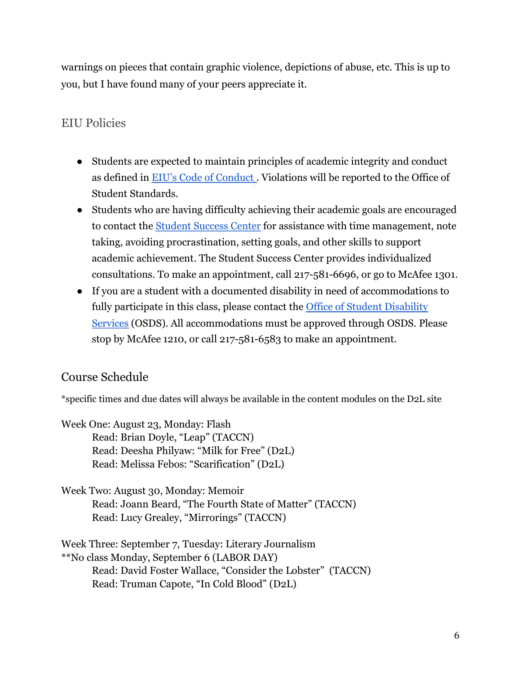warnings on pieces that contain graphic violence, depictions of abuse, etc. This is up to you, but I have found many of your peers appreciate it.

## EIU Policies

- Students are expected to maintain principles of academic integrity and conduct as defined in [EIU's Code of Conduct](http://www.eiu.edu/judicial/studentconductcode.php) . Violations will be reported to the Office of Student Standards.
- Students who are having difficulty achieving their academic goals are encouraged to contact the [Student Success Center](http://www.eiu.edu/~success) for assistance with time management, note taking, avoiding procrastination, setting goals, and other skills to support academic achievement. The Student Success Center provides individualized consultations. To make an appointment, call 217-581-6696, or go to McAfee 1301.
- If you are a student with a documented disability in need of accommodations to fully participate in this class, please contact the Office of Student Disability [Services](https://www.eiu.edu/disability/) (OSDS). All accommodations must be approved through OSDS. Please stop by McAfee 1210, or call 217-581-6583 to make an appointment.

## Course Schedule

\*specific times and due dates will always be available in the content modules on the D2L site

Week One: August 23, Monday: Flash Read: Brian Doyle, "Leap" (TACCN) Read: Deesha Philyaw: "Milk for Free" (D2L) Read: Melissa Febos: "Scarification" (D2L)

Week Two: August 30, Monday: Memoir Read: Joann Beard, "The Fourth State of Matter" (TACCN) Read: Lucy Grealey, "Mirrorings" (TACCN)

Week Three: September 7, Tuesday: Literary Journalism \*\*No class Monday, September 6 (LABOR DAY) Read: David Foster Wallace, "Consider the Lobster" (TACCN) Read: Truman Capote, "In Cold Blood" (D2L)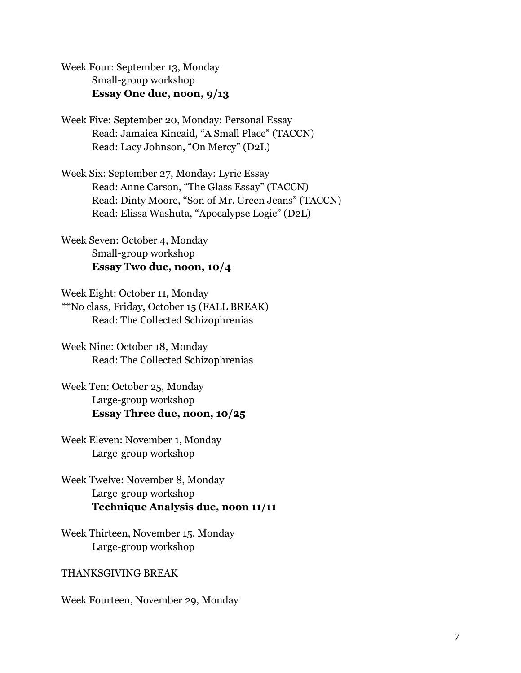Week Four: September 13, Monday Small-group workshop **Essay One due, noon, 9/13** 

Week Five: September 20, Monday: Personal Essay Read: Jamaica Kincaid, "A Small Place" (TACCN) Read: Lacy Johnson, "On Mercy" (D2L)

Week Six: September 27, Monday: Lyric Essay Read: Anne Carson, "The Glass Essay" (TACCN) Read: Dinty Moore, "Son of Mr. Green Jeans" (TACCN) Read: Elissa Washuta, "Apocalypse Logic" (D2L)

Week Seven: October 4, Monday Small-group workshop **Essay Two due, noon, 10/4** 

Week Eight: October 11, Monday \*\*No class, Friday, October 15 (FALL BREAK) Read: The Collected Schizophrenias

Week Nine: October 18, Monday Read: The Collected Schizophrenias

Week Ten: October 25, Monday Large-group workshop **Essay Three due, noon, 10/25** 

Week Eleven: November 1, Monday Large-group workshop

Week Twelve: November 8, Monday Large-group workshop **Technique Analysis due, noon 11/11** 

Week Thirteen, November 15, Monday Large-group workshop

#### THANKSGIVING BREAK

Week Fourteen, November 29, Monday